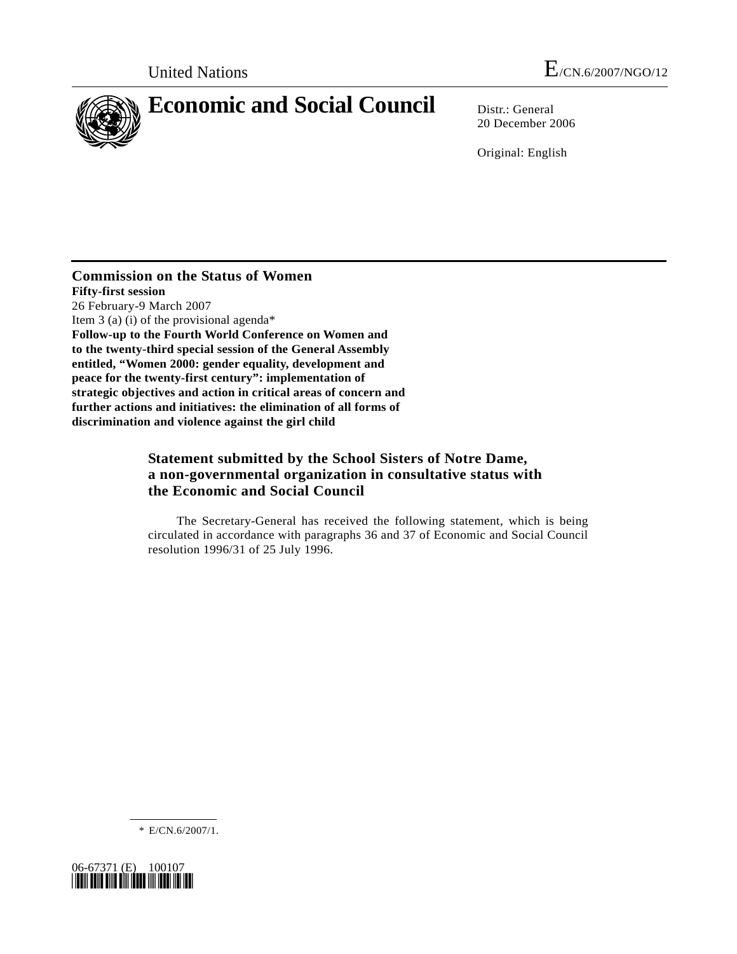

20 December 2006

Original: English

**Commission on the Status of Women Fifty-first session**  26 February-9 March 2007 Item 3 (a) (i) of the provisional agenda\* **Follow-up to the Fourth World Conference on Women and to the twenty-third special session of the General Assembly entitled, "Women 2000: gender equality, development and peace for the twenty-first century": implementation of strategic objectives and action in critical areas of concern and further actions and initiatives: the elimination of all forms of discrimination and violence against the girl child** 

# **Statement submitted by the School Sisters of Notre Dame, a non-governmental organization in consultative status with the Economic and Social Council**

 The Secretary-General has received the following statement, which is being circulated in accordance with paragraphs 36 and 37 of Economic and Social Council resolution 1996/31 of 25 July 1996.

\* E/CN.6/2007/1.

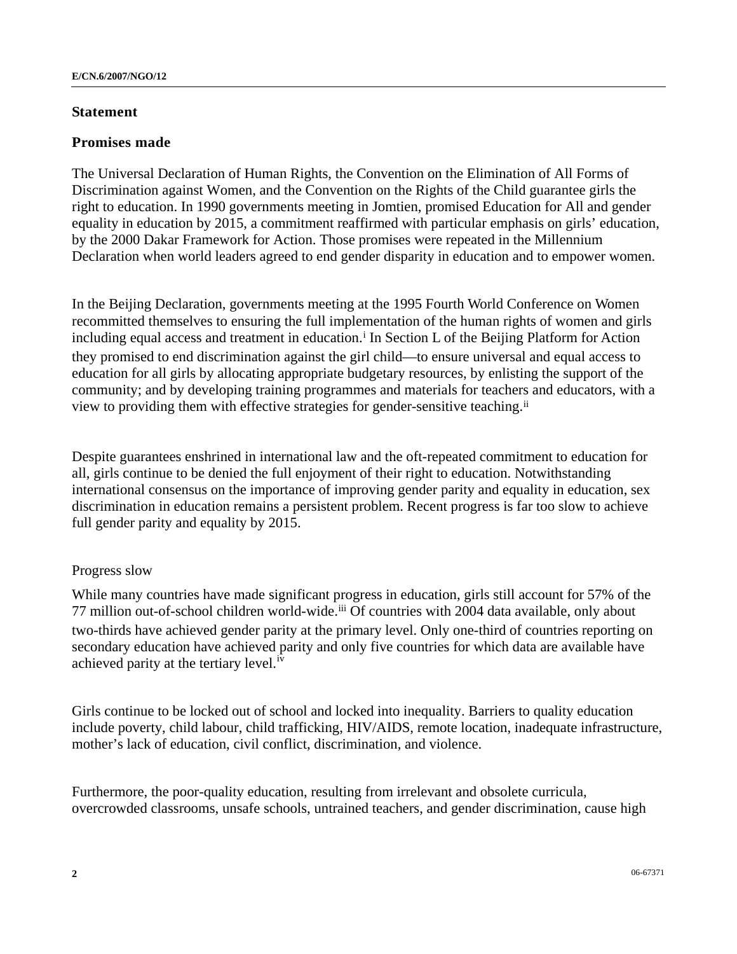### **Statement**

## **Promises made**

The Universal Declaration of Human Rights, the Convention on the Elimination of All Forms of Discrimination against Women, and the Convention on the Rights of the Child guarantee girls the right to education. In 1990 governments meeting in Jomtien, promised Education for All and gender equality in education by 2015, a commitment reaffirmed with particular emphasis on girls' education, by the 2000 Dakar Framework for Action. Those promises were repeated in the Millennium Declaration when world leaders agreed to end gender disparity in education and to empower women.

In the Beijing Declaration, governments meeting at the 1995 Fourth World Conference on Women recommitted themselves to ensuring the full implementation of the human rights of women and girls [i](#page-5-0)ncluding equal access and treatment in education.<sup>1</sup> In Section L of the Beijing Platform for Action they promised to end discrimination against the girl child—to ensure universal and equal access to education for all girls by allocating appropriate budgetary resources, by enlisting the support of the community; and by developing training programmes and materials for teachers and educators, with a view to providing them with effective strategies for gender-sensitive teaching.[i](#page-5-1)i

Despite guarantees enshrined in international law and the oft-repeated commitment to education for all, girls continue to be denied the full enjoyment of their right to education. Notwithstanding international consensus on the importance of improving gender parity and equality in education, sex discrimination in education remains a persistent problem. Recent progress is far too slow to achieve full gender parity and equality by 2015.

# Progress slow

While many countries have made significant progress in education, girls still account for 57% of the 77 million out-of-school children world-wide.<sup>[ii](#page-5-1)i</sup> Of countries with 2004 data available, only about two-thirds have achieved gender parity at the primary level. Only one-third of countries reporting on secondary education have achieved parity and only five countries for which data are available have ach[i](#page-5-1)eved parity at the tertiary level.<sup>iv</sup>

Girls continue to be locked out of school and locked into inequality. Barriers to quality education include poverty, child labour, child trafficking, HIV/AIDS, remote location, inadequate infrastructure, mother's lack of education, civil conflict, discrimination, and violence.

Furthermore, the poor-quality education, resulting from irrelevant and obsolete curricula, overcrowded classrooms, unsafe schools, untrained teachers, and gender discrimination, cause high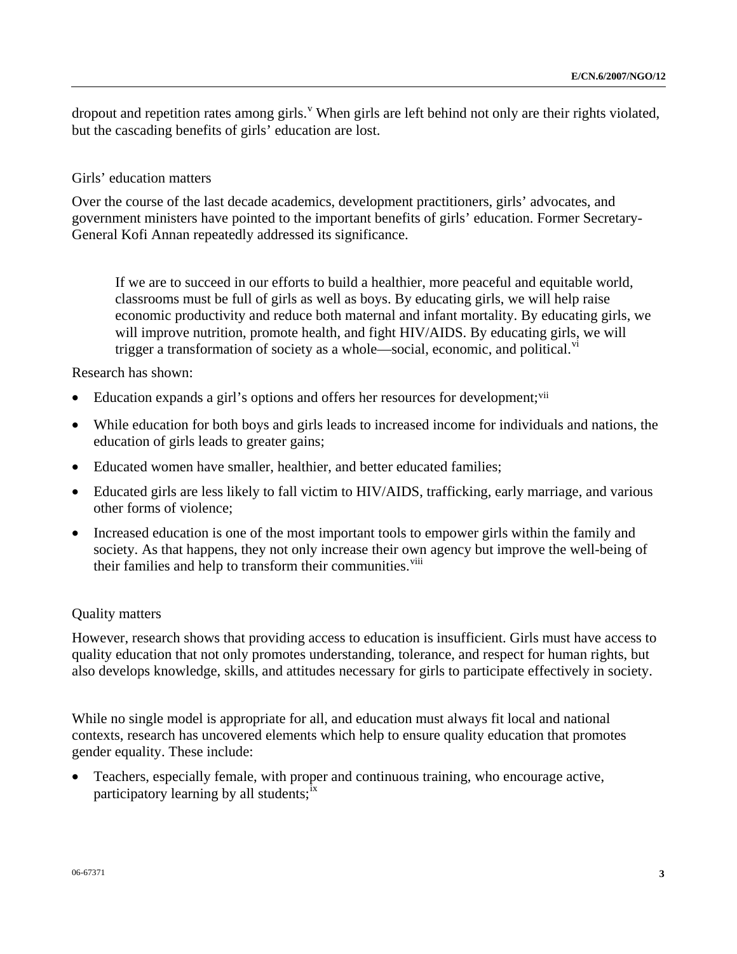dropout and repetition rates among girls. <sup>[v](#page-5-1)</sup> When girls are left behind not only are their rights violated, but the cascading benefits of girls' education are lost.

#### Girls' education matters

Over the course of the last decade academics, development practitioners, girls' advocates, and government ministers have pointed to the important benefits of girls' education. Former Secretary-General Kofi Annan repeatedly addressed its significance.

If we are to succeed in our efforts to build a healthier, more peaceful and equitable world, classrooms must be full of girls as well as boys. By educating girls, we will help raise economic productivity and reduce both maternal and infant mortality. By educating girls, we will improve nutrition, promote health, and fight HIV/AIDS. By educating girls, we will trigger a transformation of society as a whole—social, economic, and political. $v<sup>1</sup>$  $v<sup>1</sup>$ 

Research has shown:

- Education expands a girl's options and offers her resources for development;<sup>[vi](#page-5-1)i</sup>
- While education for both boys and girls leads to increased income for individuals and nations, the education of girls leads to greater gains;
- Educated women have smaller, healthier, and better educated families;
- Educated girls are less likely to fall victim to HIV/AIDS, trafficking, early marriage, and various other forms of violence;
- Increased education is one of the most important tools to empower girls within the family and society. As that happens, they not only increase their own agency but improve the well-being of their families and help to transform their communities.<sup>[vi](#page-5-1)ii</sup>

#### Quality matters

However, research shows that providing access to education is insufficient. Girls must have access to quality education that not only promotes understanding, tolerance, and respect for human rights, but also develops knowledge, skills, and attitudes necessary for girls to participate effectively in society.

While no single model is appropriate for all, and education must always fit local and national contexts, research has uncovered elements which help to ensure quality education that promotes gender equality. These include:

• Teachers, especially female, with proper and continuous training, who encourage active, participatory learning by all students; $i<sup>x</sup>$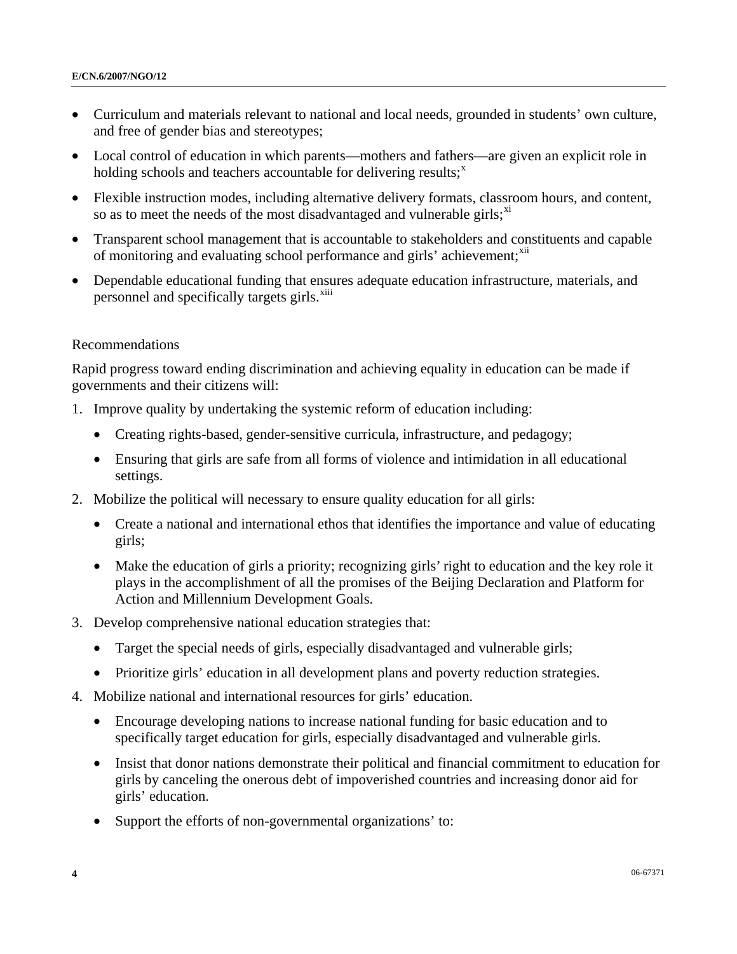- Curriculum and materials relevant to national and local needs, grounded in students' own culture, and free of gender bias and stereotypes;
- Local control of education in which parents—mothers and fathers—are given an explicit role in holding schools and teachers accountable for delivering results; $<sup>x</sup>$  $<sup>x</sup>$  $<sup>x</sup>$ </sup>
- Flexible instruction modes, including alternative delivery formats, classroom hours, and content, so as to meet the needs of the most disadvantaged and vulnerable girls;  $x_i$
- Transparent school management that is accountable to stakeholders and constituents and capable of monitoring and evaluating school performance and girls' achievement;<sup>[x](#page-5-1)ii</sup>
- Dependable educational funding that ensures adequate education infrastructure, materials, and personnel and specifically targets girls.<sup>[xi](#page-5-1)ii</sup>

#### Recommendations

Rapid progress toward ending discrimination and achieving equality in education can be made if governments and their citizens will:

- 1. Improve quality by undertaking the systemic reform of education including:
	- Creating rights-based, gender-sensitive curricula, infrastructure, and pedagogy;
	- Ensuring that girls are safe from all forms of violence and intimidation in all educational settings.
- 2. Mobilize the political will necessary to ensure quality education for all girls:
	- Create a national and international ethos that identifies the importance and value of educating girls;
	- Make the education of girls a priority; recognizing girls' right to education and the key role it plays in the accomplishment of all the promises of the Beijing Declaration and Platform for Action and Millennium Development Goals.
- 3. Develop comprehensive national education strategies that:
	- Target the special needs of girls, especially disadvantaged and vulnerable girls;
	- Prioritize girls' education in all development plans and poverty reduction strategies.
- 4. Mobilize national and international resources for girls' education.
	- Encourage developing nations to increase national funding for basic education and to specifically target education for girls, especially disadvantaged and vulnerable girls.
	- Insist that donor nations demonstrate their political and financial commitment to education for girls by canceling the onerous debt of impoverished countries and increasing donor aid for girls' education.
	- Support the efforts of non-governmental organizations' to: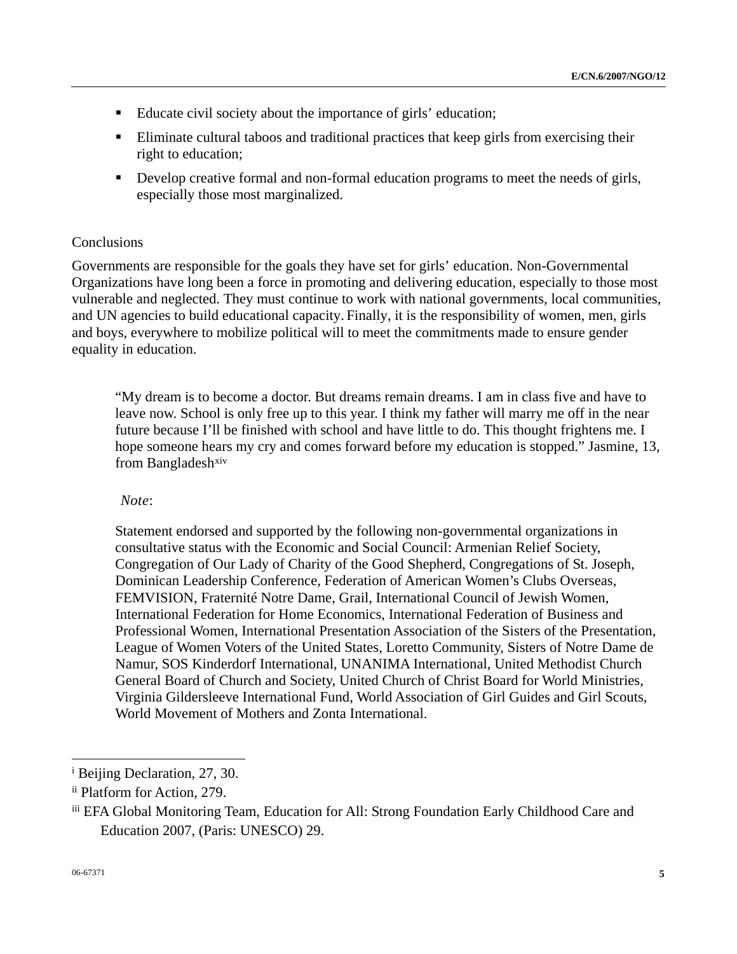- Educate civil society about the importance of girls' education;
- Eliminate cultural taboos and traditional practices that keep girls from exercising their right to education;
- Develop creative formal and non-formal education programs to meet the needs of girls, especially those most marginalized.

# **Conclusions**

Governments are responsible for the goals they have set for girls' education. Non-Governmental Organizations have long been a force in promoting and delivering education, especially to those most vulnerable and neglected. They must continue to work with national governments, local communities, and UN agencies to build educational capacity. Finally, it is the responsibility of women, men, girls and boys, everywhere to mobilize political will to meet the commitments made to ensure gender equality in education.

"My dream is to become a doctor. But dreams remain dreams. I am in class five and have to leave now. School is only free up to this year. I think my father will marry me off in the near future because I'll be finished with school and have little to do. This thought frightens me. I hope someone hears my cry and comes forward before my education is stopped." Jasmine, 13, from Bangladesh<sup>[xi](#page-5-1)v</sup>

# *Note*:

Statement endorsed and supported by the following non-governmental organizations in consultative status with the Economic and Social Council: Armenian Relief Society, Congregation of Our Lady of Charity of the Good Shepherd, Congregations of St. Joseph, Dominican Leadership Conference, Federation of American Women's Clubs Overseas, FEMVISION, Fraternité Notre Dame, Grail, International Council of Jewish Women, International Federation for Home Economics, International Federation of Business and Professional Women, International Presentation Association of the Sisters of the Presentation, League of Women Voters of the United States, Loretto Community, Sisters of Notre Dame de Namur, SOS Kinderdorf International, UNANIMA International, United Methodist Church General Board of Church and Society, United Church of Christ Board for World Ministries, Virginia Gildersleeve International Fund, World Association of Girl Guides and Girl Scouts, World Movement of Mothers and Zonta International.

l

<sup>&</sup>lt;sup>i</sup> Beijing Declaration, 27, 30.

ii Platform for Action, 279.

iii EFA Global Monitoring Team, Education for All: Strong Foundation Early Childhood Care and Education 2007, (Paris: UNESCO) 29.